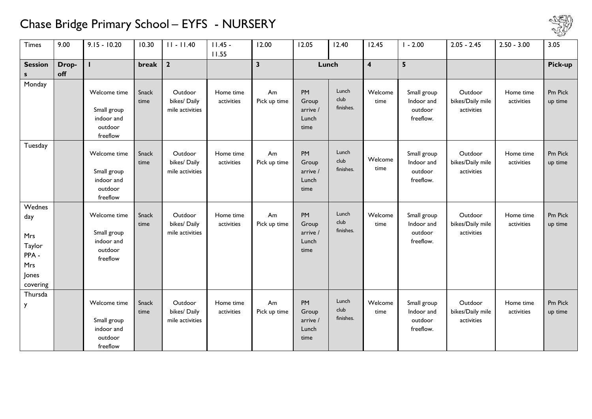## Chase Bridge Primary School – EYFS - NURSERY



| <b>Times</b>   | 9.00  | $9.15 - 10.20$      | 10.30 | $II - II.40$                    | $11.45 -$  | 12.00                   | 12.05             | 12.40         | 12.45                   | $-2.00$               | $2.05 - 2.45$                  | $2.50 - 3.00$ | 3.05    |
|----------------|-------|---------------------|-------|---------------------------------|------------|-------------------------|-------------------|---------------|-------------------------|-----------------------|--------------------------------|---------------|---------|
|                |       |                     |       |                                 | 11.55      |                         |                   |               |                         |                       |                                |               |         |
| <b>Session</b> | Drop- |                     | break | $\overline{2}$                  |            | $\overline{\mathbf{3}}$ | Lunch             |               | $\overline{\mathbf{4}}$ | $5\phantom{a}$        |                                |               | Pick-up |
| S.             | off   |                     |       |                                 |            |                         |                   |               |                         |                       |                                |               |         |
| Monday         |       |                     |       |                                 |            |                         |                   |               |                         |                       |                                |               |         |
|                |       | Welcome time        | Snack | Outdoor                         | Home time  | Am                      | PM                | Lunch<br>club | Welcome                 | Small group           | Outdoor                        | Home time     | Pm Pick |
|                |       | Small group         | time  | bikes/ Daily<br>mile activities | activities | Pick up time            | Group<br>arrive / | finishes.     | time                    | Indoor and<br>outdoor | bikes/Daily mile<br>activities | activities    | up time |
|                |       | indoor and          |       |                                 |            |                         | Lunch             |               |                         | freeflow.             |                                |               |         |
|                |       | outdoor             |       |                                 |            |                         | time              |               |                         |                       |                                |               |         |
|                |       | freeflow            |       |                                 |            |                         |                   |               |                         |                       |                                |               |         |
| Tuesday        |       |                     |       |                                 |            |                         |                   |               |                         |                       |                                |               |         |
|                |       | Welcome time        | Snack | Outdoor                         | Home time  | Am                      | PM                | Lunch         |                         | Small group           | Outdoor                        | Home time     | Pm Pick |
|                |       |                     | time  | bikes/ Daily                    | activities | Pick up time            | Group             | club          | Welcome<br>time         | Indoor and            | bikes/Daily mile               | activities    | up time |
|                |       | Small group         |       | mile activities                 |            |                         | arrive /          | finishes.     |                         | outdoor               | activities                     |               |         |
|                |       | indoor and          |       |                                 |            |                         | Lunch             |               |                         | freeflow.             |                                |               |         |
|                |       | outdoor<br>freeflow |       |                                 |            |                         | time              |               |                         |                       |                                |               |         |
| Wednes         |       |                     |       |                                 |            |                         |                   |               |                         |                       |                                |               |         |
| day            |       | Welcome time        | Snack | Outdoor                         | Home time  | Am                      | PM                | Lunch         | Welcome                 | Small group           | Outdoor                        | Home time     | Pm Pick |
|                |       |                     | time  | bikes/ Daily                    | activities | Pick up time            | Group             | club          | time                    | Indoor and            | bikes/Daily mile               | activities    | up time |
| Mrs            |       | Small group         |       | mile activities                 |            |                         | arrive /          | finishes.     |                         | outdoor               | activities                     |               |         |
| Taylor         |       | indoor and          |       |                                 |            |                         | Lunch             |               |                         | freeflow.             |                                |               |         |
| PPA-           |       | outdoor             |       |                                 |            |                         | time              |               |                         |                       |                                |               |         |
| Mrs            |       | freeflow            |       |                                 |            |                         |                   |               |                         |                       |                                |               |         |
| Jones          |       |                     |       |                                 |            |                         |                   |               |                         |                       |                                |               |         |
| covering       |       |                     |       |                                 |            |                         |                   |               |                         |                       |                                |               |         |
| Thursda        |       |                     |       |                                 |            |                         |                   |               |                         |                       |                                |               |         |
| y              |       | Welcome time        | Snack | Outdoor                         | Home time  | Am                      | <b>PM</b>         | Lunch         | Welcome                 | Small group           | Outdoor                        | Home time     | Pm Pick |
|                |       |                     | time  | bikes/ Daily                    | activities | Pick up time            | Group             | club          | time                    | Indoor and            | bikes/Daily mile               | activities    | up time |
|                |       | Small group         |       | mile activities                 |            |                         | arrive /          | finishes.     |                         | outdoor               | activities                     |               |         |
|                |       | indoor and          |       |                                 |            |                         | Lunch             |               |                         | freeflow.             |                                |               |         |
|                |       | outdoor             |       |                                 |            |                         | time              |               |                         |                       |                                |               |         |
|                |       | freeflow            |       |                                 |            |                         |                   |               |                         |                       |                                |               |         |